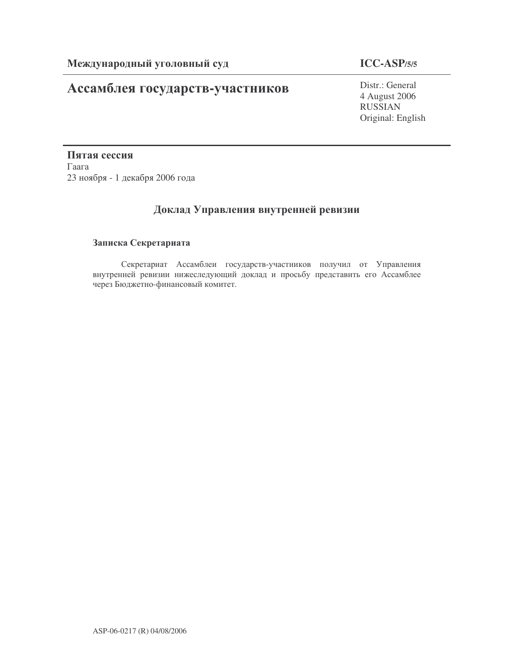# **Ассамблея государств-участников** Distr.: General

## **ICC-ASP/5/5**

4 August 2006 RUSSIAN Original: English

Пятая сессия  $\Gamma$ аага 23 ноября - 1 декабря 2006 года

## Доклад Управления внутренней ревизии

## Записка Секретариата

Секретариат Ассамблеи государств-участников получил от Управления внутренней ревизии нижеследующий доклад и просьбу представить его Ассамблее через Бюджетно-финансовый комитет.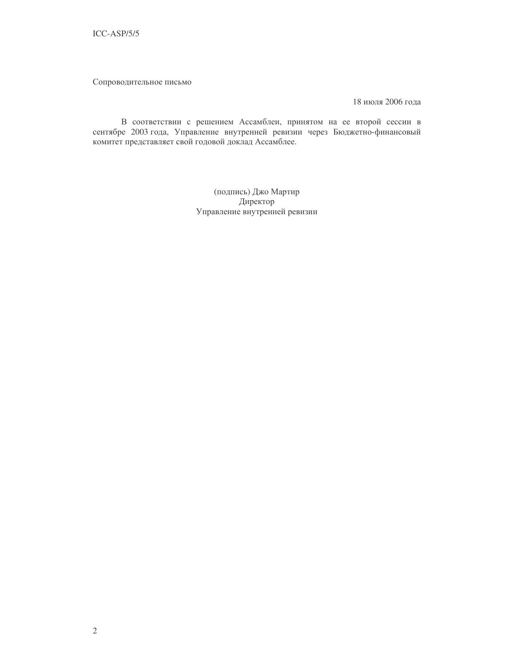Сопроводительное письмо

18 июля 2006 года

В соответствии с решением Ассамблеи, принятом на ее второй сессии в сентябре 2003 года, Управление внутренней ревизии через Бюджетно-финансовый комитет представляет свой годовой доклад Ассамблее.

> (подпись) Джо Мартир Директор Управление внутренней ревизии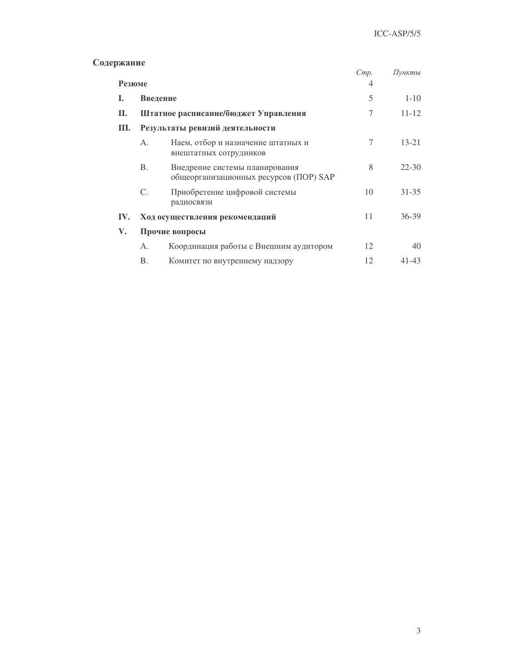## Содержание

| лмапис |                                 |                                                                          | Cmp. | Пункты    |  |
|--------|---------------------------------|--------------------------------------------------------------------------|------|-----------|--|
| Резюме |                                 | 4                                                                        |      |           |  |
| Ι.     | Введение                        |                                                                          | 5    | $1 - 10$  |  |
| П.     |                                 | Штатное расписание/бюджет Управления                                     | 7    | $11 - 12$ |  |
| III.   | Результаты ревизий деятельности |                                                                          |      |           |  |
|        | Α.                              | Наем, отбор и назначение штатных и<br>внештатных сотрудников             | 7    | $13 - 21$ |  |
|        | <b>B.</b>                       | Внедрение системы планирования<br>общеорганизационных ресурсов (ПОР) SAP | 8    | $22 - 30$ |  |
|        | $C_{\cdot}$                     | Приобретение цифровой системы<br>радиосвязи                              | 10   | $31 - 35$ |  |
| IV.    |                                 | Ход осуществления рекомендаций                                           | 11   | $36 - 39$ |  |
| V.     | Прочие вопросы                  |                                                                          |      |           |  |
|        | А.                              | Координация работы с Внешним аудитором                                   | 12   | 40        |  |
|        | Β.                              | Комитет по внутреннему надзору                                           | 12   | 41-43     |  |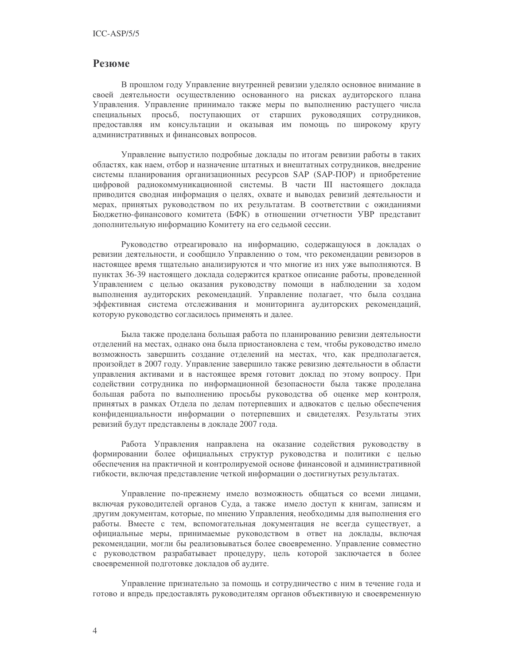### **Резюме**

В прошлом году Управление внутренней ревизии уделяло основное внимание в своей деятельности осуществлению основанного на рисках аудиторского плана Управления. Управление принимало также меры по выполнению растущего числа специальных просьб, поступающих от старших руководящих сотрудников, предоставляя им консультации и оказывая им помощь по широкому кругу административных и финансовых вопросов.

Управление выпустило подробные доклады по итогам ревизии работы в таких областях, как наем, отбор и назначение штатных и внештатных сотрудников, внедрение системы планирования организационных ресурсов SAP (SAP-ПОР) и приобретение цифровой радиокоммуникационной системы. В части III настоящего доклада приводится сводная информация о целях, охвате и выводах ревизий деятельности и мерах, принятых руководством по их результатам. В соответствии с ожиданиями Бюджетно-финансового комитета (БФК) в отношении отчетности УВР представит дополнительную информацию Комитету на его седьмой сессии.

Руководство отреагировало на информацию, содержащуюся в докладах о ревизии деятельности, и сообщило Управлению о том, что рекомендации ревизоров в настоящее время тщательно анализируются и что многие из них уже выполняются. В пунктах 36-39 настоящего доклада содержится краткое описание работы, проведенной Управлением с целью оказания руководству помощи в наблюдении за ходом выполнения аудиторских рекомендаций. Управление полагает, что была создана эффективная система отслеживания и мониторинга аудиторских рекомендаций, которую руководство согласилось применять и далее.

Была также проделана большая работа по планированию ревизии деятельности отделений на местах, однако она была приостановлена с тем, чтобы руководство имело возможность завершить создание отделений на местах, что, как предполагается, произойдет в 2007 году. Управление завершило также ревизию деятельности в области управления активами и в настоящее время готовит доклад по этому вопросу. При содействии сотрудника по информационной безопасности была также проделана большая работа по выполнению просьбы руководства об оценке мер контроля, принятых в рамках Отдела по делам потерпевших и адвокатов с целью обеспечения конфиденциальности информации о потерпевших и свидетелях. Результаты этих ревизий будут представлены в докладе 2007 года.

Работа Управления направлена на оказание содействия руководству в формировании более официальных структур руководства и политики с целью обеспечения на практичной и контролируемой основе финансовой и административной гибкости, включая представление четкой информации о достигнутых результатах.

Управление по-прежнему имело возможность общаться со всеми лицами, включая руководителей органов Суда, а также имело доступ к книгам, записям и другим документам, которые, по мнению Управления, необходимы для выполнения его работы. Вместе с тем, вспомогательная документация не всегда существует, а официальные меры, принимаемые руководством в ответ на доклады, включая рекомендации, могли бы реализовываться более своевременно. Управление совместно с руководством разрабатывает процедуру, цель которой заключается в более своевременной подготовке докладов об аудите.

Управление признательно за помощь и сотрудничество с ним в течение года и готово и впредь предоставлять руководителям органов объективную и своевременную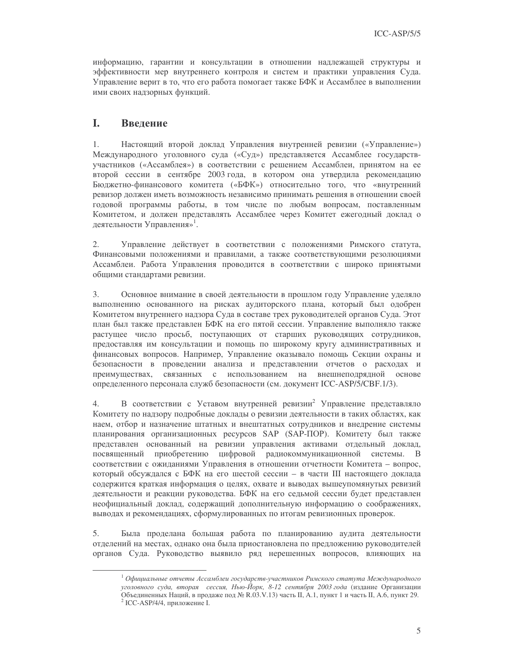информацию, гарантии и консультации в отношении надлежащей структуры и эффективности мер внутреннего контроля и систем и практики управления Суда. Управление верит в то, что его работа помогает также БФК и Ассамблее в выполнении ими своих надзорных функций.

#### L Введение

 $1<sub>1</sub>$ Настоящий второй доклад Управления внутренней ревизии («Управление») Международного уголовного суда («Суд») представляется Ассамблее государствучастников («Ассамблея») в соответствии с решением Ассамблеи, принятом на ее второй сессии в сентябре 2003 года, в котором она утвердила рекомендацию Бюджетно-финансового комитета («БФК») относительно того, что «внутренний ревизор должен иметь возможность независимо принимать решения в отношении своей годовой программы работы, в том числе по любым вопросам, поставленным Комитетом, и должен представлять Ассамблее через Комитет ежегодный доклад о деятельности Управления»<sup>1</sup>.

2. Управление действует в соответствии с положениями Римского статута, Финансовыми положениями и правилами, а также соответствующими резолюциями Ассамблеи. Работа Управления проводится в соответствии с широко принятыми общими стандартами ревизии.

3. Основное внимание в своей деятельности в прошлом году Управление уделяло выполнению основанного на рисках аудиторского плана, который был одобрен Комитетом внутреннего надзора Суда в составе трех руководителей органов Суда. Этот план был также представлен БФК на его пятой сессии. Управление выполняло также растущее число просьб, поступающих от старших руководящих сотрудников, предоставляя им консультации и помощь по широкому кругу административных и финансовых вопросов. Например, Управление оказывало помощь Секции охраны и безопасности в проведении анализа и представлении отчетов о расходах и преимуществах, связанных с использованием на внешнеподрядной основе определенного персонала служб безопасности (см. документ ICC-ASP/5/CBF.1/3).

В соответствии с Уставом внутренней ревизии<sup>2</sup> Управление представляло  $4.$ Комитету по надзору подробные доклады о ревизии деятельности в таких областях, как наем, отбор и назначение штатных и внештатных сотрудников и внедрение системы планирования организационных ресурсов SAP (SAP-ПОР). Комитету был также представлен основанный на ревизии управления активами отдельный доклад, посвященный приобретению цифровой радиокоммуникационной системы. В соответствии с ожиданиями Управления в отношении отчетности Комитета - вопрос, который обсуждался с БФК на его шестой сессии - в части III настоящего доклада содержится краткая информация о целях, охвате и выводах вышеупомянутых ревизий деятельности и реакции руководства. БФК на его седьмой сессии будет представлен неофициальный доклад, содержащий дополнительную информацию о соображениях, выводах и рекомендациях, сформулированных по итогам ревизионных проверок.

5. Была проделана большая работа по планированию аудита деятельности отделений на местах, однако она была приостановлена по предложению руководителей органов Суда. Руководство выявило ряд нерешенных вопросов, влияющих на

 $^{-1}$ Официальные отчеты Ассамблеи государств-участников Римского статута Международного уголовного суда, вторая сессия, Нью-Йорк, 8-12 сентября 2003 года (издание Организации Объединенных Наций, в продаже под № R.03.V.13) часть II, А.1, пункт 1 и часть II, А.6, пункт 29. <sup>2</sup> ICC-ASP/4/4, приложение I.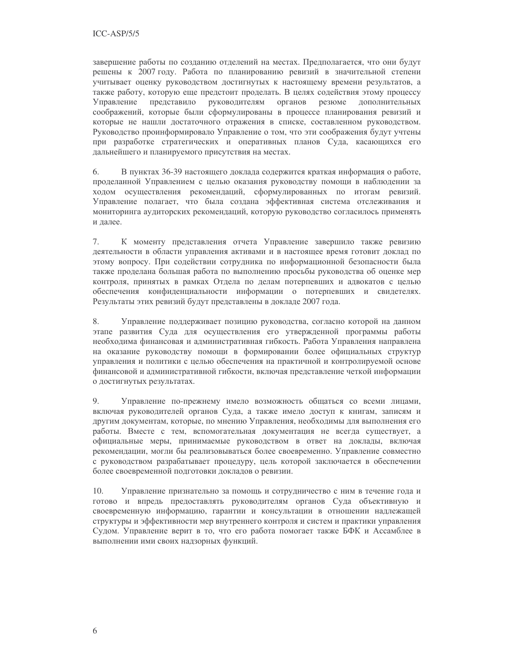завершение работы по созданию отделений на местах. Предполагается, что они будут решены к 2007 году. Работа по планированию ревизий в значительной степени учитывает оценку руководством достигнутых к настоящему времени результатов, а также работу, которую еще предстоит проделать. В целях содействия этому процессу руководителям органов резюме дополнительных Управление представило соображений, которые были сформулированы в процессе планирования ревизий и которые не нашли достаточного отражения в списке, составленном руководством. Руководство проинформировало Управление о том, что эти соображения будут учтены при разработке стратегических и оперативных планов Суда, касающихся его дальнейшего и планируемого присутствия на местах.

6. В пунктах 36-39 настоящего доклада содержится краткая информация о работе, проделанной Управлением с целью оказания руководству помощи в наблюдении за ходом осуществления рекомендаций, сформулированных по итогам ревизий. Управление полагает, что была создана эффективная система отслеживания и мониторинга аудиторских рекомендаций, которую руководство согласилось применять и далее.

7. К моменту представления отчета Управление завершило также ревизию деятельности в области управления активами и в настоящее время готовит доклад по этому вопросу. При содействии сотрудника по информационной безопасности была также проделана большая работа по выполнению просьбы руководства об оценке мер контроля, принятых в рамках Отдела по делам потерпевших и адвокатов с целью обеспечения конфиденциальности информации о потерпевших и свидетелях. Результаты этих ревизий будут представлены в докладе 2007 года.

8. Управление поддерживает позицию руководства, согласно которой на данном этапе развития Суда для осуществления его утвержденной программы работы необходима финансовая и административная гибкость. Работа Управления направлена на оказание руководству помощи в формировании более официальных структур управления и политики с целью обеспечения на практичной и контролируемой основе финансовой и административной гибкости, включая представление четкой информации о достигнутых результатах.

9. Управление по-прежнему имело возможность общаться со всеми лицами, включая руководителей органов Суда, а также имело доступ к книгам, записям и другим документам, которые, по мнению Управления, необходимы для выполнения его работы. Вместе с тем, вспомогательная документация не всегда существует, а официальные меры, принимаемые руководством в ответ на доклады, включая рекомендации, могли бы реализовываться более своевременно. Управление совместно с руководством разрабатывает процедуру, цель которой заключается в обеспечении более своевременной подготовки докладов о ревизии.

 $10.$ Управление признательно за помощь и сотрудничество с ним в течение года и готово и впредь предоставлять руководителям органов Суда объективную и своевременную информацию, гарантии и консультации в отношении надлежащей структуры и эффективности мер внутреннего контроля и систем и практики управления Судом. Управление верит в то, что его работа помогает также БФК и Ассамблее в выполнении ими своих надзорных функций.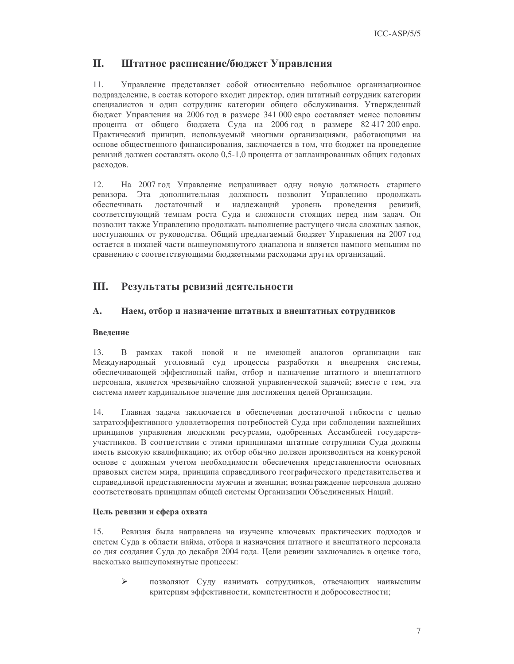#### II. Штатное расписание/бюджет Управления

11. Управление представляет собой относительно небольшое организационное подразделение, в состав которого входит директор, один штатный сотрудник категории специалистов и один сотрудник категории общего обслуживания. Утвержденный бюджет Управления на 2006 год в размере 341 000 евро составляет менее половины процента от общего бюджета Суда на 2006 год в размере 82 417 200 евро. Практический принцип, используемый многими организациями, работающими на основе общественного финансирования, заключается в том, что бюджет на проведение ревизий должен составлять около 0,5-1,0 процента от запланированных общих годовых расходов.

 $12.$ На 2007 год Управление испрашивает одну новую должность старшего ревизора. Эта дополнительная должность позволит Управлению продолжать обеспечивать достаточный и уровень проведения надлежащий ревизий, соответствующий темпам роста Суда и сложности стоящих перед ним задач. Он позволит также Управлению продолжать выполнение растущего числа сложных заявок, поступающих от руководства. Общий предлагаемый бюджет Управления на 2007 год остается в нижней части вышеупомянутого диапазона и является намного меньшим по сравнению с соответствующими бюджетными расходами других организаций.

#### Ш. Результаты ревизий деятельности

#### A. Наем, отбор и назначение штатных и внештатных сотрудников

### Ввеление

 $13.$ В рамках такой новой и не имеющей аналогов организации как Международный уголовный суд процессы разработки и внедрения системы, обеспечивающей эффективный найм, отбор и назначение штатного и внештатного персонала, является чрезвычайно сложной управленческой задачей; вместе с тем, эта система имеет кардинальное значение для достижения целей Организации.

Главная залача заключается в обеспечении лостаточной гибкости с целью 14. затратоэффективного удовлетворения потребностей Суда при соблюдении важнейших принципов управления людскими ресурсами, одобренных Ассамблеей государствучастников. В соответствии с этими принципами штатные сотрудники Суда должны иметь высокую квалификацию; их отбор обычно должен производиться на конкурсной основе с должным учетом необходимости обеспечения представленности основных правовых систем мира, принципа справедливого географического представительства и справедливой представленности мужчин и женщин; вознаграждение персонала должно соответствовать принципам общей системы Организации Объединенных Наций.

### Цель ревизии и сфера охвата

 $15.$ Ревизия была направлена на изучение ключевых практических подходов и систем Суда в области найма, отбора и назначения штатного и внештатного персонала со дня создания Суда до декабря 2004 года. Цели ревизии заключались в оценке того, насколько вышеупомянутые процессы:

 $\blacktriangleright$ позволяют Суду нанимать сотрудников, отвечающих наивысшим критериям эффективности, компетентности и добросовестности;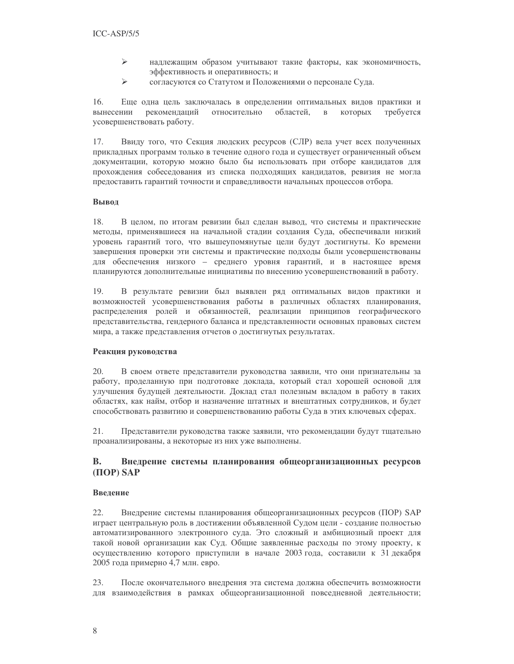- $\blacktriangleright$ надлежащим образом учитывают такие факторы, как экономичность, эффективность и оперативность; и
- $\blacktriangleright$ согласуются со Статутом и Положениями о персонале Суда.

16. Еще одна цель заключалась в определении оптимальных видов практики и относительно областей. требуется вынесении рекомендаций  $\, {\bf B}$ которых усовершенствовать работу.

17. Ввиду того, что Секция людских ресурсов (СЛР) вела учет всех полученных прикладных программ только в течение одного года и существует ограниченный объем документации, которую можно было бы использовать при отборе кандидатов для прохождения собеседования из списка подходящих кандидатов, ревизия не могла предоставить гарантий точности и справедливости начальных процессов отбора.

### Вывол

18. В целом, по итогам ревизии был сделан вывод, что системы и практические методы, применявшиеся на начальной стадии создания Суда, обеспечивали низкий уровень гарантий того, что вышеупомянутые цели будут достигнуты. Ко времени завершения проверки эти системы и практические подходы были усовершенствованы для обеспечения низкого - среднего уровня гарантий, и в настоящее время планируются дополнительные инициативы по внесению усовершенствований в работу.

19. В результате ревизии был выявлен ряд оптимальных видов практики и возможностей усовершенствования работы в различных областях планирования, распределения ролей и обязанностей, реализации принципов географического представительства, гендерного баланса и представленности основных правовых систем мира, а также представления отчетов о достигнутых результатах.

### Реакция руководства

20. В своем ответе представители руководства заявили, что они признательны за работу, проделанную при подготовке доклада, который стал хорошей основой для улучшения будущей деятельности. Доклад стал полезным вкладом в работу в таких областях, как найм, отбор и назначение штатных и внештатных сотрудников, и будет способствовать развитию и совершенствованию работы Суда в этих ключевых сферах.

21. Представители руководства также заявили, что рекомендации будут тщательно проанализированы, а некоторые из них уже выполнены.

#### **B.** Внедрение системы планирования общеорганизационных ресурсов  $(IIOP)$  SAP

### Введение

22. Внедрение системы планирования общеорганизационных ресурсов (ПОР) SAP играет центральную роль в достижении объявленной Судом цели - создание полностью автоматизированного электронного суда. Это сложный и амбициозный проект для такой новой организации как Суд. Общие заявленные расходы по этому проекту, к осуществлению которого приступили в начале 2003 года, составили к 31 декабря 2005 года примерно 4,7 млн. евро.

23. После окончательного внедрения эта система должна обеспечить возможности для взаимодействия в рамках общеорганизационной повседневной деятельности;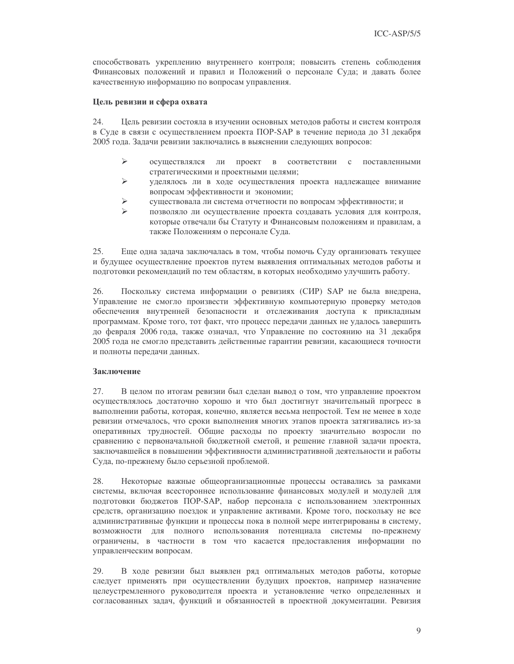способствовать укреплению внутреннего контроля; повысить степень соблюдения Финансовых положений и правил и Положений о персонале Суда; и давать более качественную информацию по вопросам управления.

### Цель ревизии и сфера охвата

24. Цель ревизии состояла в изучении основных методов работы и систем контроля в Суде в связи с осуществлением проекта ПОР-SAP в течение периода до 31 декабря 2005 года. Задачи ревизии заключались в выяснении следующих вопросов:

- $\blacktriangleright$ осуществлялся ли проект в соответствии с поставленными стратегическими и проектными целями;
- $\blacktriangleright$ уделялось ли в ходе осуществления проекта надлежащее внимание вопросам эффективности и экономии;
- $\blacktriangleright$ существовала ли система отчетности по вопросам эффективности; и
- $\blacktriangleright$ позволяло ли осуществление проекта создавать условия для контроля, которые отвечали бы Статуту и Финансовым положениям и правилам, а также Положениям о персонале Суда.

Еще одна задача заключалась в том, чтобы помочь Суду организовать текущее 25. и будущее осуществление проектов путем выявления оптимальных методов работы и подготовки рекомендаций по тем областям, в которых необходимо улучшить работу.

26. Поскольку система информации о ревизиях (СИР) SAP не была внедрена, Управление не смогло произвести эффективную компьютерную проверку методов обеспечения внутренней безопасности и отслеживания доступа к прикладным программам. Кроме того, тот факт, что процесс передачи данных не удалось завершить до февраля 2006 года, также означал, что Управление по состоянию на 31 декабря 2005 года не смогло представить действенные гарантии ревизии, касающиеся точности и полноты передачи данных.

### Заключение

27. В целом по итогам ревизии был сделан вывод о том, что управление проектом осуществлялось достаточно хорошо и что был достигнут значительный прогресс в выполнении работы, которая, конечно, является весьма непростой. Тем не менее в ходе ревизии отмечалось, что сроки выполнения многих этапов проекта затягивались из-за оперативных трудностей. Общие расходы по проекту значительно возросли по сравнению с первоначальной бюджетной сметой, и решение главной задачи проекта, заключавшейся в повышении эффективности административной деятельности и работы Суда, по-прежнему было серьезной проблемой.

28. Некоторые важные общеорганизационные процессы оставались за рамками системы, включая всестороннее использование финансовых модулей и модулей для подготовки бюджетов ПОР-SAP, набор персонала с использованием электронных средств, организацию поездок и управление активами. Кроме того, поскольку не все административные функции и процессы пока в полной мере интегрированы в систему, возможности для полного использования потенциала системы по-прежнему ограничены, в частности в том что касается предоставления информации по управленческим вопросам.

29. В ходе ревизии был выявлен ряд оптимальных методов работы, которые следует применять при осуществлении будущих проектов, например назначение целеустремленного руководителя проекта и установление четко определенных и согласованных задач, функций и обязанностей в проектной документации. Ревизия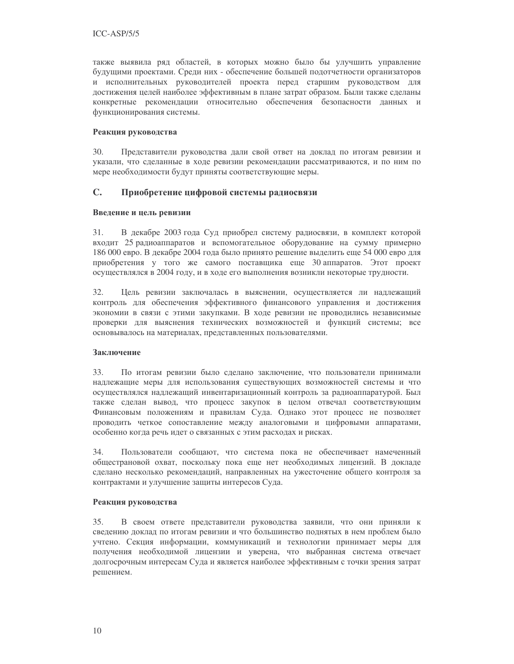также выявила ряд областей, в которых можно было бы улучшить управление будущими проектами. Среди них - обеспечение большей подотчетности организаторов и исполнительных руководителей проекта перед старшим руководством для достижения целей наиболее эффективным в плане затрат образом. Были также сделаны конкретные рекомендации относительно обеспечения безопасности данных и функционирования системы.

### Реакция руководства

30. Представители руководства дали свой ответ на доклад по итогам ревизии и указали, что сделанные в ходе ревизии рекомендации рассматриваются, и по ним по мере необходимости будут приняты соответствующие меры.

#### $\mathbf{C}$ . Приобретение цифровой системы радиосвязи

### Введение и цель ревизии

31. В декабре 2003 года Суд приобрел систему радиосвязи, в комплект которой входит 25 радиоаппаратов и вспомогательное оборудование на сумму примерно 186 000 евро. В декабре 2004 года было принято решение выделить еще 54 000 евро для приобретения у того же самого поставщика еще 30 аппаратов. Этот проект осуществлялся в 2004 году, и в ходе его выполнения возникли некоторые трудности.

32. Цель ревизии заключалась в выяснении, осуществляется ли надлежащий контроль для обеспечения эффективного финансового управления и достижения экономии в связи с этими закупками. В ходе ревизии не проводились независимые проверки для выяснения технических возможностей и функций системы; все основывалось на материалах, представленных пользователями.

### Заключение

 $33$ По итогам ревизии было сделано заключение, что пользователи принимали надлежащие меры для использования существующих возможностей системы и что осуществлялся надлежащий инвентаризационный контроль за радиоаппаратурой. Был также сделан вывод, что процесс закупок в целом отвечал соответствующим Финансовым положениям и правилам Суда. Однако этот процесс не позволяет проводить четкое сопоставление между аналоговыми и цифровыми аппаратами, особенно когда речь идет о связанных с этим расходах и рисках.

Пользователи сообщают, что система пока не обеспечивает намеченный 34. общестрановой охват, поскольку пока еще нет необходимых лицензий. В докладе сделано несколько рекомендаций, направленных на ужесточение общего контроля за контрактами и улучшение защиты интересов Суда.

### Реакция руководства

35. В своем ответе представители руководства заявили, что они приняли к сведению доклад по итогам ревизии и что большинство поднятых в нем проблем было учтено. Секция информации, коммуникаций и технологии принимает меры для получения необходимой лицензии и уверена, что выбранная система отвечает долгосрочным интересам Суда и является наиболее эффективным с точки зрения затрат решением.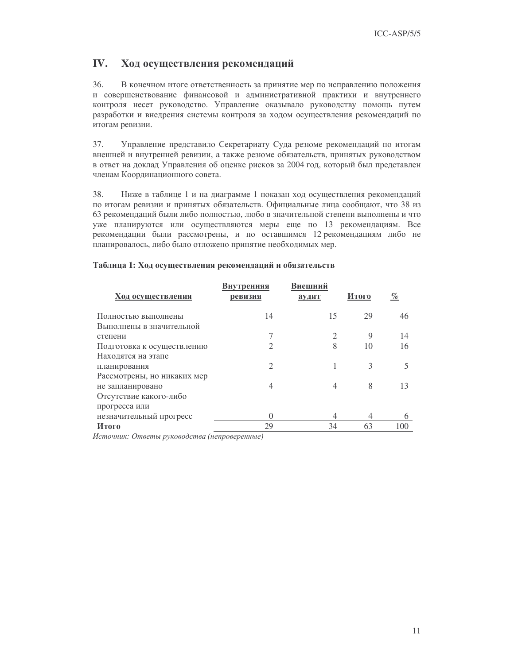#### IV. Ход осуществления рекомендаций

36. В конечном итоге ответственность за принятие мер по исправлению положения и совершенствование финансовой и административной практики и внутреннего контроля несет руководство. Управление оказывало руководству помощь путем разработки и внедрения системы контроля за ходом осуществления рекомендаций по итогам ревизии.

37. Управление представило Секретариату Суда резюме рекомендаций по итогам внешней и внутренней ревизии, а также резюме обязательств, принятых руководством в ответ на доклад Управления об оценке рисков за 2004 год, который был представлен членам Координационного совета.

38. Ниже в таблице 1 и на диаграмме 1 показан ход осуществления рекомендаций по итогам ревизии и принятых обязательств. Официальные лица сообщают, что 38 из 63 рекомендаций были либо полностью, любо в значительной степени выполнены и что уже планируются или осуществляются меры еще по 13 рекомендациям. Все рекомендации были рассмотрены, и по оставшимся 12 рекомендациям либо не планировалось, либо было отложено принятие необходимых мер.

### Таблица 1: Ход осуществления рекомендаций и обязательств

| Ход осуществления           | Внутренняя<br>ревизия | Внешний<br>аудит | Итого       | $\%$ |
|-----------------------------|-----------------------|------------------|-------------|------|
| Полностью выполнены         | 14                    | 15               | 29          | 46   |
| Выполнены в значительной    |                       |                  |             |      |
| степени                     |                       | $\overline{2}$   | $\mathbf Q$ | 14   |
| Подготовка к осуществлению  |                       | 8                | 10          | 16   |
| Находятся на этапе          |                       |                  |             |      |
| планирования                | $\mathcal{D}$         |                  | 3           |      |
| Рассмотрены, но никаких мер |                       |                  |             |      |
| не запланировано            | 4                     | 4                | 8           | 13   |
| Отсутствие какого-либо      |                       |                  |             |      |
| прогресса или               |                       |                  |             |      |
| незначительный прогресс     | 0                     | 4                | 4           | 6    |
| Итого                       | 29                    | 34               | 63          | 100  |
|                             |                       |                  |             |      |

Источник: Ответы руководства (непроверенные)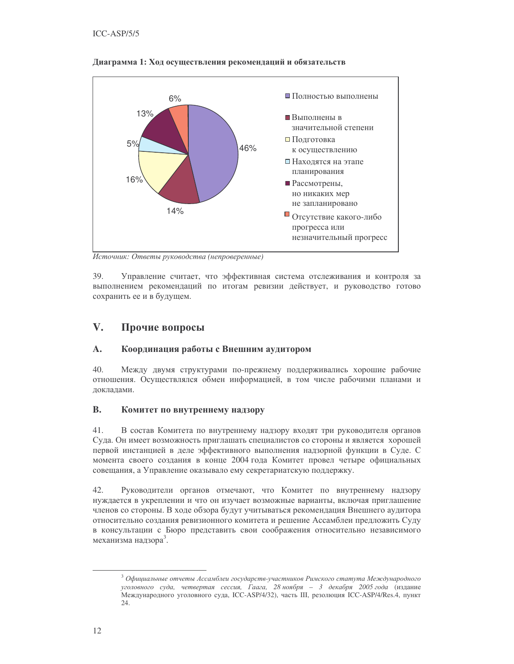

### Диаграмма 1: Ход осуществления рекомендаций и обязательств

Источник: Ответы руководства (непроверенные)

39. Управление считает, что эффективная система отслеживания и контроля за выполнением рекомендаций по итогам ревизии действует, и руководство готово сохранить ее и в будущем.

#### $\mathbf{V}$ . Прочие вопросы

#### $\mathbf{A}$ . Координация работы с Внешним аудитором

40. Между двумя структурами по-прежнему поддерживались хорошие рабочие отношения. Осуществлялся обмен информацией, в том числе рабочими планами и локлалами.

#### **B.** Комитет по внутреннему надзору

 $41.$ В состав Комитета по внутреннему надзору входят три руководителя органов Суда. Он имеет возможность приглашать специалистов со стороны и является хорошей первой инстанцией в деле эффективного выполнения надзорной функции в Суде. С момента своего создания в конце 2004 года Комитет провел четыре официальных совещания, а Управление оказывало ему секретариатскую поддержку.

42. Руководители органов отмечают, что Комитет по внутреннему надзору нуждается в укреплении и что он изучает возможные варианты, включая приглашение членов со стороны. В ходе обзора будут учитываться рекомендация Внешнего аудитора относительно создания ревизионного комитета и решение Ассамблеи предложить Суду в консультации с Бюро представить свои соображения относительно независимого механизма надзора<sup>3</sup>.

 $3$  Официальные отчеты Ассамблеи государств-участников Римского статута Международного уголовного суда, четвертая сессия, Гаага, 28 ноября - 3 декабря 2005 года (издание Международного уголовного суда, ICC-ASP/4/32), часть III, резолюция ICC-ASP/4/Res.4, пункт 24.